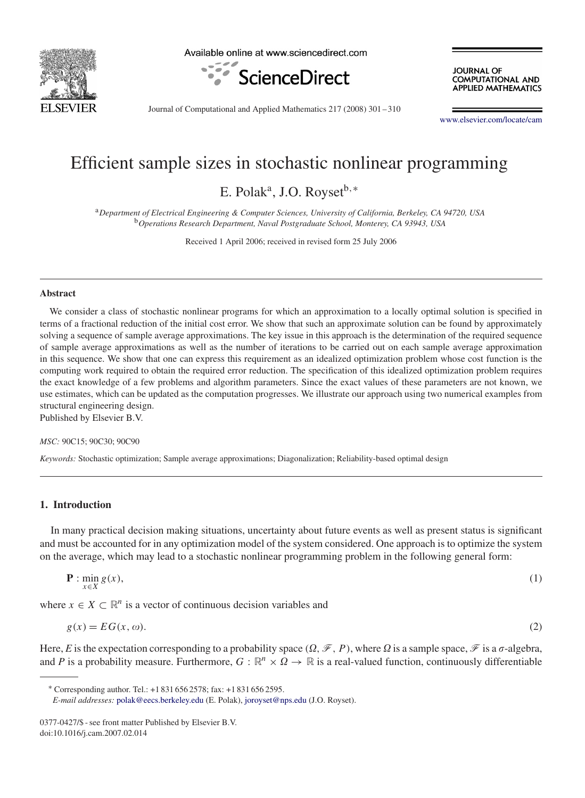

Available online at www.sciencedirect.com



**JOURNAL OF COMPUTATIONAL AND APPLIED MATHEMATICS** 

Journal of Computational and Applied Mathematics 217 (2008) 301 – 310

[www.elsevier.com/locate/cam](http://www.elsevier.com/locate/cam)

# Efficient sample sizes in stochastic nonlinear programming

E. Polak<sup>a</sup>, J.O. Royset<sup>b,∗</sup>

<sup>a</sup>*Department of Electrical Engineering & Computer Sciences, University of California, Berkeley, CA 94720, USA* <sup>b</sup>*Operations Research Department, Naval Postgraduate School, Monterey, CA 93943, USA*

Received 1 April 2006; received in revised form 25 July 2006

#### **Abstract**

We consider a class of stochastic nonlinear programs for which an approximation to a locally optimal solution is specified in terms of a fractional reduction of the initial cost error. We show that such an approximate solution can be found by approximately solving a sequence of sample average approximations. The key issue in this approach is the determination of the required sequence of sample average approximations as well as the number of iterations to be carried out on each sample average approximation in this sequence. We show that one can express this requirement as an idealized optimization problem whose cost function is the computing work required to obtain the required error reduction. The specification of this idealized optimization problem requires the exact knowledge of a few problems and algorithm parameters. Since the exact values of these parameters are not known, we use estimates, which can be updated as the computation progresses. We illustrate our approach using two numerical examples from structural engineering design.

Published by Elsevier B.V.

*MSC:* 90C15; 90C30; 90C90

*Keywords:* Stochastic optimization; Sample average approximations; Diagonalization; Reliability-based optimal design

# **1. Introduction**

In many practical decision making situations, uncertainty about future events as well as present status is significant and must be accounted for in any optimization model of the system considered. One approach is to optimize the system on the average, which may lead to a stochastic nonlinear programming problem in the following general form:

$$
\mathbf{P} : \min_{x \in X} g(x),\tag{1}
$$

where  $x \in X \subset \mathbb{R}^n$  is a vector of continuous decision variables and

$$
g(x) = EG(x, \omega). \tag{2}
$$

Here, *E* is the expectation corresponding to a probability space  $(\Omega, \mathcal{F}, P)$ , where  $\Omega$  is a sample space,  $\mathcal{F}$  is a  $\sigma$ -algebra, and *P* is a probability measure. Furthermore,  $G : \mathbb{R}^n \times \Omega \to \mathbb{R}$  is a real-valued function, continuously differentiable

<sup>∗</sup> Corresponding author. Tel.: +1 831 656 2578; fax: +1 831 656 2595.

*E-mail addresses:* [polak@eecs.berkeley.edu](mailto:polak@eecs.berkeley.edu) (E. Polak), [joroyset@nps.edu](mailto:joroyset@nps.edu) (J.O. Royset).

<sup>0377-0427/\$ -</sup> see front matter Published by Elsevier B.V. doi:10.1016/j.cam.2007.02.014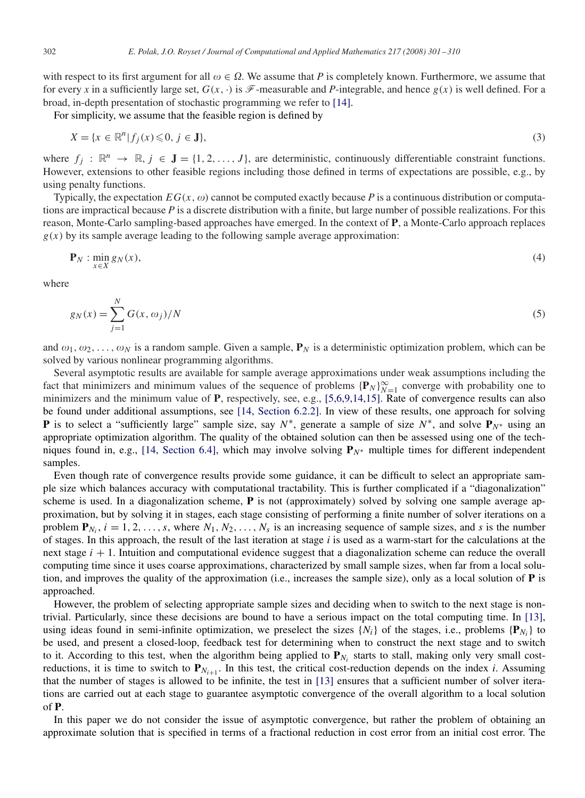with respect to its first argument for all  $\omega \in \Omega$ . We assume that P is completely known. Furthermore, we assume that for every x in a sufficiently large set,  $G(x, \cdot)$  is  $\mathcal F$ -measurable and P-integrable, and hence  $g(x)$  is well defined. For a broad, in-depth presentation of stochastic programming we refer to [\[14\].](#page-9-0)

For simplicity, we assume that the feasible region is defined by

$$
X = \{x \in \mathbb{R}^n | f_j(x) \leq 0, j \in \mathbf{J}\},\tag{3}
$$

where  $f_i : \mathbb{R}^n \to \mathbb{R}$ ,  $j \in \mathbf{J} = \{1, 2, ..., J\}$ , are deterministic, continuously differentiable constraint functions. However, extensions to other feasible regions including those defined in terms of expectations are possible, e.g., by using penalty functions.

Typically, the expectation  $EG(x, \omega)$  cannot be computed exactly because P is a continuous distribution or computations are impractical because *P* is a discrete distribution with a finite, but large number of possible realizations. For this reason, Monte-Carlo sampling-based approaches have emerged. In the context of **P**, a Monte-Carlo approach replaces  $g(x)$  by its sample average leading to the following sample average approximation:

$$
\mathbf{P}_N : \min_{x \in X} g_N(x),\tag{4}
$$

where

$$
g_N(x) = \sum_{j=1}^{N} G(x, \omega_j) / N
$$
 (5)

and  $\omega_1, \omega_2, \ldots, \omega_N$  is a random sample. Given a sample,  $P_N$  is a deterministic optimization problem, which can be solved by various nonlinear programming algorithms.

Several asymptotic results are available for sample average approximations under weak assumptions including the fact that minimizers and minimum values of the sequence of problems  $\{P_N\}_{N=1}^\infty$  converge with probability one to minimizers and the minimum value of **P**, respectively, see, e.g., [5,6,9,14,15]. Rate of convergence results can also be found under additional assumptions, see [\[14, Section 6.2.2\].](#page-9-0) In view of these results, one approach for solving **P** is to select a "sufficiently large" sample size, say *N*∗, generate a sample of size *N*∗, and solve **P***N*<sup>∗</sup> using an appropriate optimization algorithm. The quality of the obtained solution can then be assessed using one of the techniques found in, e.g., [\[14, Section 6.4\],](#page-9-0) which may involve solving **P***N*<sup>∗</sup> multiple times for different independent samples.

Even though rate of convergence results provide some guidance, it can be difficult to select an appropriate sample size which balances accuracy with computational tractability. This is further complicated if a "diagonalization" scheme is used. In a diagonalization scheme, **P** is not (approximately) solved by solving one sample average approximation, but by solving it in stages, each stage consisting of performing a finite number of solver iterations on a problem  $P_{N_i}$ ,  $i = 1, 2, \ldots, s$ , where  $N_1, N_2, \ldots, N_s$  is an increasing sequence of sample sizes, and *s* is the number of stages. In this approach, the result of the last iteration at stage *i* is used as a warm-start for the calculations at the next stage *i* + 1. Intuition and computational evidence suggest that a diagonalization scheme can reduce the overall computing time since it uses coarse approximations, characterized by small sample sizes, when far from a local solution, and improves the quality of the approximation (i.e., increases the sample size), only as a local solution of **P** is approached.

However, the problem of selecting appropriate sample sizes and deciding when to switch to the next stage is nontrivial. Particularly, since these decisions are bound to have a serious impact on the total computing time. In [\[13\],](#page-9-0) using ideas found in semi-infinite optimization, we preselect the sizes  $\{N_i\}$  of the stages, i.e., problems  $\{P_{N_i}\}$  to be used, and present a closed-loop, feedback test for determining when to construct the next stage and to switch to it. According to this test, when the algorithm being applied to  $P_{N_i}$  starts to stall, making only very small costreductions, it is time to switch to  $P_{N_{i+1}}$ . In this test, the critical cost-reduction depends on the index *i*. Assuming that the number of stages is allowed to be infinite, the test in [\[13\]](#page-9-0) ensures that a sufficient number of solver iterations are carried out at each stage to guarantee asymptotic convergence of the overall algorithm to a local solution of **P**.

In this paper we do not consider the issue of asymptotic convergence, but rather the problem of obtaining an approximate solution that is specified in terms of a fractional reduction in cost error from an initial cost error. The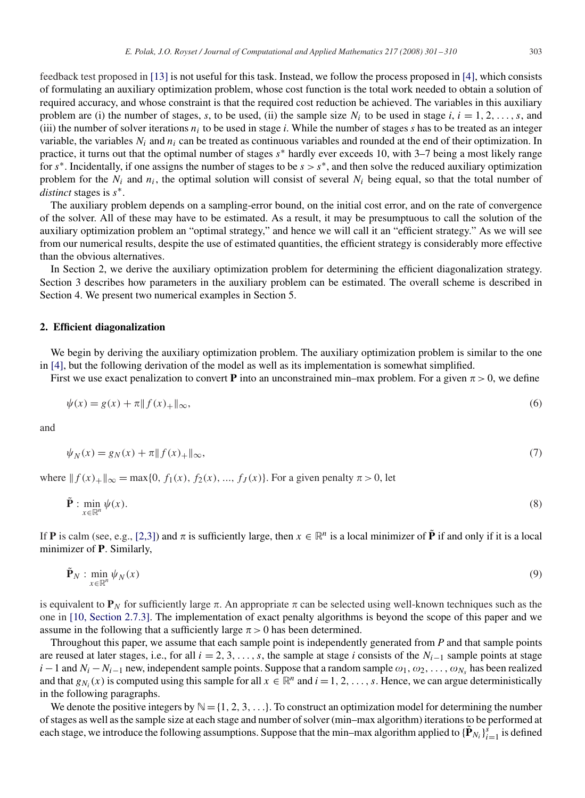feedback test proposed in [\[13\]](#page-9-0) is not useful for this task. Instead, we follow the process proposed in [\[4\],](#page-9-0) which consists of formulating an auxiliary optimization problem, whose cost function is the total work needed to obtain a solution of required accuracy, and whose constraint is that the required cost reduction be achieved. The variables in this auxiliary problem are (i) the number of stages, *s*, to be used, (ii) the sample size  $N_i$  to be used in stage  $i, i = 1, 2, \ldots, s$ , and (iii) the number of solver iterations  $n_i$  to be used in stage *i*. While the number of stages *s* has to be treated as an integer variable, the variables *Ni* and *ni* can be treated as continuous variables and rounded at the end of their optimization. In practice, it turns out that the optimal number of stages *s*<sup>∗</sup> hardly ever exceeds 10, with 3–7 being a most likely range for  $s<sup>*</sup>$ . Incidentally, if one assigns the number of stages to be  $s > s<sup>*</sup>$ , and then solve the reduced auxiliary optimization problem for the  $N_i$  and  $n_i$ , the optimal solution will consist of several  $N_i$  being equal, so that the total number of *distinct* stages is *s*∗.

The auxiliary problem depends on a sampling-error bound, on the initial cost error, and on the rate of convergence of the solver. All of these may have to be estimated. As a result, it may be presumptuous to call the solution of the auxiliary optimization problem an "optimal strategy," and hence we will call it an "efficient strategy." As we will see from our numerical results, despite the use of estimated quantities, the efficient strategy is considerably more effective than the obvious alternatives.

In Section 2, we derive the auxiliary optimization problem for determining the efficient diagonalization strategy. Section 3 describes how parameters in the auxiliary problem can be estimated. The overall scheme is described in Section 4. We present two numerical examples in Section 5.

#### **2. Efficient diagonalization**

We begin by deriving the auxiliary optimization problem. The auxiliary optimization problem is similar to the one in [\[4\],](#page-9-0) but the following derivation of the model as well as its implementation is somewhat simplified.

First we use exact penalization to convert **P** into an unconstrained min–max problem. For a given  $\pi > 0$ , we define

$$
\psi(x) = g(x) + \pi \| f(x)_{+} \|_{\infty},
$$
\n(6)

and

$$
\psi_N(x) = g_N(x) + \pi \| f(x)_+\|_{\infty},\tag{7}
$$

where  $|| f(x)_{+}||_{\infty} = max\{0, f_1(x), f_2(x), ..., f_J(x)\}$ . For a given penalty  $\pi > 0$ , let

$$
\tilde{\mathbf{P}}: \min_{x \in \mathbb{R}^n} \psi(x). \tag{8}
$$

If **P** is calm (see, e.g., [2,3]) and  $\pi$  is sufficiently large, then  $x \in \mathbb{R}^n$  is a local minimizer of  $\tilde{P}$  if and only if it is a local minimizer of **P**. Similarly,

$$
\tilde{\mathbf{P}}_N : \min_{x \in \mathbb{R}^n} \psi_N(x) \tag{9}
$$

is equivalent to  $P_N$  for sufficiently large  $\pi$ . An appropriate  $\pi$  can be selected using well-known techniques such as the one in [\[10, Section 2.7.3\].](#page-9-0) The implementation of exact penalty algorithms is beyond the scope of this paper and we assume in the following that a sufficiently large  $\pi > 0$  has been determined.

Throughout this paper, we assume that each sample point is independently generated from *P* and that sample points are reused at later stages, i.e., for all  $i = 2, 3, \ldots, s$ , the sample at stage *i* consists of the  $N_{i-1}$  sample points at stage *i* − 1 and  $N_i - N_{i-1}$  new, independent sample points. Suppose that a random sample  $\omega_1, \omega_2, \ldots, \omega_{N_s}$  has been realized and that  $g_{N_i}(x)$  is computed using this sample for all  $x \in \mathbb{R}^n$  and  $i = 1, 2, \ldots, s$ . Hence, we can argue deterministically in the following paragraphs.

We denote the positive integers by  $\mathbb{N} = \{1, 2, 3, \ldots\}$ . To construct an optimization model for determining the number of stages as well as the sample size at each stage and number of solver (min–max algorithm) iterations to be performed at each stage, we introduce the following assumptions. Suppose that the min–max algorithm applied to  ${\{\tilde{\mathbf{P}}_{N_i}\}}_{i=1}^s$  is defined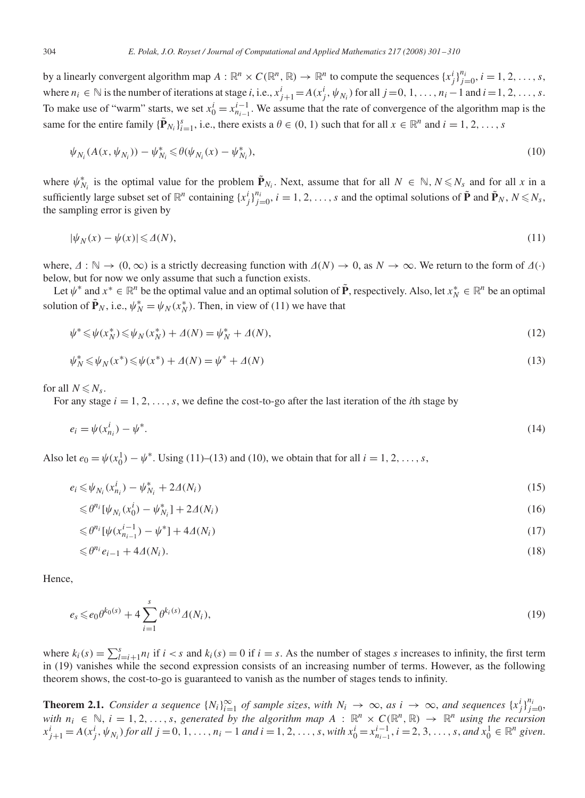by a linearly convergent algorithm map  $A: \mathbb{R}^n \times C(\mathbb{R}^n, \mathbb{R}) \to \mathbb{R}^n$  to compute the sequences  $\{x_j^i\}_{j=0}^{n_i}$ ,  $i = 1, 2, ..., s$ , where  $n_i \in \mathbb{N}$  is the number of iterations at stage i, i.e.,  $x_{j+1}^i = A(x_j^i, \psi_{N_i})$  for all  $j = 0, 1, ..., n_i - 1$  and  $i = 1, 2, ..., s$ . To make use of "warm" starts, we set  $x_0^i = x_{n_{i-1}}^{i-1}$ . We assume that the rate of convergence of the algorithm map is the same for the entire family  ${\{\tilde{\mathbf{P}}_{N_i}\}_{i=1}^s}$ , i.e., there exists a  $\theta \in (0, 1)$  such that for all  $x \in \mathbb{R}^n$  and  $i = 1, 2, ..., s$ 

$$
\psi_{N_i}(A(x, \psi_{N_i})) - \psi_{N_i}^* \le \theta(\psi_{N_i}(x) - \psi_{N_i}^*),
$$
\n(10)

where  $\psi_{N_i}^*$  is the optimal value for the problem  $\tilde{\mathbf{P}}_{N_i}$ . Next, assume that for all  $N \in \mathbb{N}$ ,  $N \le N_s$  and for all x in a sufficiently large subset set of  $\mathbb{R}^n$  containing  $\{x_j^i\}_{j=0}^{n_i}$ ,  $i = 1, 2, ..., s$  and the optimal solutions of  $\tilde{\mathbf{P}}$  and  $\tilde{\mathbf{P}}_N$ ,  $N \le N_s$ , the sampling error is given by

$$
|\psi_N(x) - \psi(x)| \leq \Delta(N),\tag{11}
$$

where,  $\Delta : \mathbb{N} \to (0, \infty)$  is a strictly decreasing function with  $\Delta(N) \to 0$ , as  $N \to \infty$ . We return to the form of  $\Delta(\cdot)$ below, but for now we only assume that such a function exists.

Let  $\psi^*$  and  $x^* \in \mathbb{R}^n$  be the optimal value and an optimal solution of  $\tilde{\mathbf{P}}$ , respectively. Also, let  $x_N^* \in \mathbb{R}^n$  be an optimal solution of  $\tilde{\mathbf{P}}_N$ , i.e.,  $\psi_N^* = \psi_N(x_N^*)$ . Then, in view of (11) we have that

$$
\psi^* \le \psi(x_N^*) \le \psi_N(x_N^*) + \Delta(N) = \psi_N^* + \Delta(N),\tag{12}
$$

$$
\psi_N^* \le \psi_N(x^*) \le \psi(x^*) + \Delta(N) = \psi^* + \Delta(N) \tag{13}
$$

for all  $N \le N_s$ .

For any stage  $i = 1, 2, \ldots, s$ , we define the cost-to-go after the last iteration of the *i*th stage by

$$
e_i = \psi(x_{n_i}^i) - \psi^*.\tag{14}
$$

Also let  $e_0 = \psi(x_0^1) - \psi^*$ . Using (11)–(13) and (10), we obtain that for all  $i = 1, 2, ..., s$ ,

$$
e_i \leq \psi_{N_i}(x_{n_i}^i) - \psi_{N_i}^* + 2\Delta(N_i)
$$
\n(15)

$$
\leq \theta^{n_i} [\psi_{N_i}(x_0^i) - \psi_{N_i}^*] + 2\Delta(N_i)
$$
\n(16)

$$
\leq \theta^{n_i} [\psi(x_{n_{i-1}}^{i-1}) - \psi^*] + 4\Delta(N_i) \tag{17}
$$

$$
\leq \theta^{n_i} e_{i-1} + 4\Delta(N_i). \tag{18}
$$

Hence,

$$
e_s \leq e_0 \theta^{k_0(s)} + 4 \sum_{i=1}^s \theta^{k_i(s)} \Delta(N_i), \tag{19}
$$

where  $k_i(s) = \sum_{l=i+1}^{s} n_l$  if  $i < s$  and  $k_i(s) = 0$  if  $i = s$ . As the number of stages *s* increases to infinity, the first term in (19) vanishes while the second expression consists of an increasing number of terms. However, as the following theorem shows, the cost-to-go is guaranteed to vanish as the number of stages tends to infinity.

**Theorem 2.1.** Consider a sequence  $\{N_i\}_{i=1}^{\infty}$  of sample sizes, with  $N_i \to \infty$ , as  $i \to \infty$ , and sequences  $\{x_j^i\}_{j=0}^{n_i}$ , *with*  $n_i \in \mathbb{N}, i = 1, 2, \ldots, s$ , generated by the algorithm map  $A : \mathbb{R}^n \times C(\mathbb{R}^n, \mathbb{R}) \to \mathbb{R}^n$  using the recursion  $x_{j+1}^i = A(x_j^i, \psi_{N_i})$  for all  $j = 0, 1, ..., n_i - 1$  and  $i = 1, 2, ..., s$ , with  $x_0^i = x_{n_{i-1}}^{i-1}, i = 2, 3, ..., s$ , and  $x_0^1 \in \mathbb{R}^n$  given.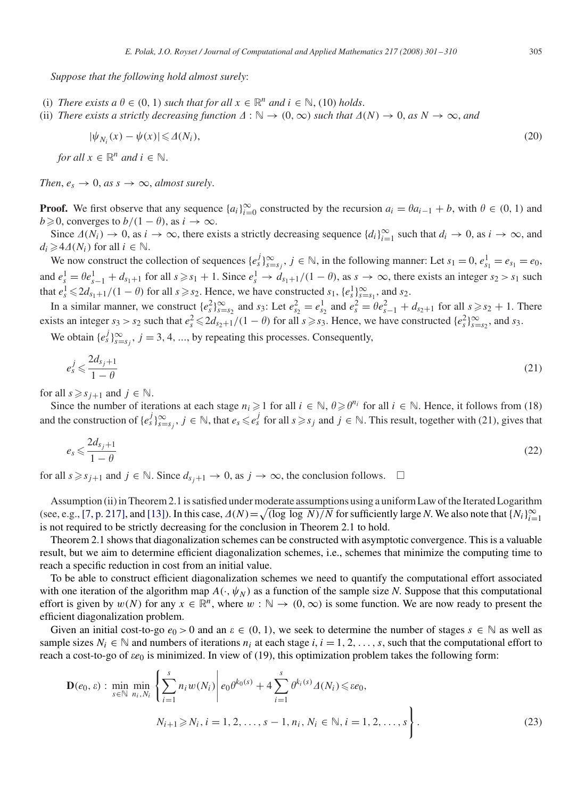*Suppose that the following hold almost surely*:

- (i) *There exists a*  $\theta \in (0, 1)$  *such that for all*  $x \in \mathbb{R}^n$  *and*  $i \in \mathbb{N}$ , (10) *holds*.
- (ii) *There exists a strictly decreasing function*  $\Delta : \mathbb{N} \to (0, \infty)$  *such that*  $\Delta(N) \to 0$ , *as*  $N \to \infty$ , *and*

$$
|\psi_{N_i}(x) - \psi(x)| \leq \Delta(N_i),\tag{20}
$$

*for all*  $x \in \mathbb{R}^n$  *and*  $i \in \mathbb{N}$ .

*Then,*  $e_s \rightarrow 0$ *, as s*  $\rightarrow \infty$ *, almost surely.* 

**Proof.** We first observe that any sequence  $\{a_i\}_{i=0}^{\infty}$  constructed by the recursion  $a_i = \theta a_{i-1} + b$ , with  $\theta \in (0, 1)$  and  $b \ge 0$ , converges to  $b/(1 - \theta)$ , as  $i \to \infty$ .

Since  $\Delta(N_i) \to 0$ , as  $i \to \infty$ , there exists a strictly decreasing sequence  $\{d_i\}_{i=1}^{\infty}$  such that  $d_i \to 0$ , as  $i \to \infty$ , and  $d_i \geq 4 \Delta(N_i)$  for all  $i \in \mathbb{N}$ .

We now construct the collection of sequences  $\{e_s^j\}_{s=s_j}^\infty$ ,  $j \in \mathbb{N}$ , in the following manner: Let  $s_1 = 0$ ,  $e_{s_1}^1 = e_{s_1} = e_0$ , and  $e_s^1 = \theta e_{s-1}^1 + d_{s_1+1}$  for all  $s \ge s_1 + 1$ . Since  $e_s^1 \to d_{s_1+1}/(1 - \theta)$ , as  $s \to \infty$ , there exists an integer  $s_2 > s_1$  such that  $e_s^1 \leq 2d_{s_1+1}/(1-\theta)$  for all  $s \geq s_2$ . Hence, we have constructed  $s_1$ ,  $\{e_s^1\}_{s=s_1}^{\infty}$ , and  $s_2$ .

In a similar manner, we construct  $\{e_s^2\}_{s=s_2}^{\infty}$  and  $s_3$ : Let  $e_{s_2}^2 = e_{s_2}^1$  and  $e_s^2 = \theta e_{s-1}^2 + d_{s_2+1}$  for all  $s \ge s_2 + 1$ . There exists an integer  $s_3 > s_2$  such that  $e_s^2 \le 2d_{s_2+1}/(1-\theta)$  for all  $s \ge s_3$ . Hence, we have constructed  $\{e_s^2\}_{s=s_2}^\infty$ , and  $s_3$ .

We obtain  $\{e_s^j\}_{s=s_j}^\infty$ ,  $j=3,4,...$ , by repeating this processes. Consequently,

$$
e_s^j \leqslant \frac{2d_{s_j+1}}{1-\theta} \tag{21}
$$

for all  $s \geq s_{i+1}$  and  $j \in \mathbb{N}$ .

Since the number of iterations at each stage  $n_i \geq 1$  for all  $i \in \mathbb{N}$ ,  $\theta \geq \theta^{n_i}$  for all  $i \in \mathbb{N}$ . Hence, it follows from (18) and the construction of  $\{e_s^j\}_{s=s_j}^{\infty}$ ,  $j \in \mathbb{N}$ , that  $e_s \leq e_s^j$  for all  $s \geq s_j$  and  $j \in \mathbb{N}$ . This result, together with (21), gives that

$$
e_s \leqslant \frac{2d_{s_j+1}}{1-\theta} \tag{22}
$$

for all  $s \geq s_{j+1}$  and  $j \in \mathbb{N}$ . Since  $d_{s_j+1} \to 0$ , as  $j \to \infty$ , the conclusion follows.  $\square$ 

Assumption (ii) in Theorem 2.1 is satisfied under moderate assumptions using a uniform Law of the Iterated Logarithm (see, e.g., [\[7, p. 217\],](#page-9-0) and [\[13\]\)](#page-9-0). In this case,  $\Delta(N) = \sqrt{\frac{\log \log N}{N}}$  for sufficiently large *N*. We also note that  $\{N_i\}_{i=1}^{\infty}$ is not required to be strictly decreasing for the conclusion in Theorem 2.1 to hold.

Theorem 2.1 shows that diagonalization schemes can be constructed with asymptotic convergence. This is a valuable result, but we aim to determine efficient diagonalization schemes, i.e., schemes that minimize the computing time to reach a specific reduction in cost from an initial value.

To be able to construct efficient diagonalization schemes we need to quantify the computational effort associated with one iteration of the algorithm map  $A(\cdot, \psi_N)$  as a function of the sample size *N*. Suppose that this computational effort is given by  $w(N)$  for any  $x \in \mathbb{R}^n$ , where  $w : \mathbb{N} \to (0, \infty)$  is some function. We are now ready to present the efficient diagonalization problem.

Given an initial cost-to-go  $e_0 > 0$  and an  $\varepsilon \in (0, 1)$ , we seek to determine the number of stages  $s \in \mathbb{N}$  as well as sample sizes  $N_i \in \mathbb{N}$  and numbers of iterations  $n_i$  at each stage  $i, i = 1, 2, \ldots, s$ , such that the computational effort to reach a cost-to-go of  $\epsilon e_0$  is minimized. In view of (19), this optimization problem takes the following form:

$$
\mathbf{D}(e_0, \varepsilon) : \min_{s \in \mathbb{N}} \min_{n_i, N_i} \left\{ \sum_{i=1}^s n_i w(N_i) \middle| e_0 \theta^{k_0(s)} + 4 \sum_{i=1}^s \theta^{k_i(s)} \Delta(N_i) \le \varepsilon e_0, \right. \\
N_{i+1} \ge N_i, i = 1, 2, \dots, s - 1, n_i, N_i \in \mathbb{N}, i = 1, 2, \dots, s \right\}.
$$
\n(23)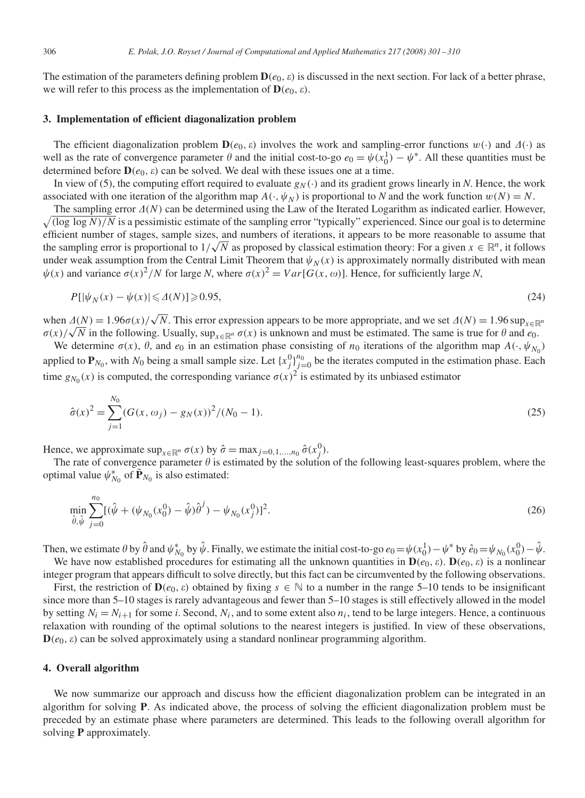The estimation of the parameters defining problem  $\mathbf{D}(e_0, \varepsilon)$  is discussed in the next section. For lack of a better phrase, we will refer to this process as the implementation of  $\mathbf{D}(e_0, \varepsilon)$ .

#### **3. Implementation of efficient diagonalization problem**

The efficient diagonalization problem  $D(e_0, \varepsilon)$  involves the work and sampling-error functions  $w(\cdot)$  and  $\Delta(\cdot)$  as well as the rate of convergence parameter  $\theta$  and the initial cost-to-go  $e_0 = \psi(x_0^1) - \psi^*$ . All these quantities must be determined before  $\mathbf{D}(e_0, \varepsilon)$  can be solved. We deal with these issues one at a time.

In view of (5), the computing effort required to evaluate  $g_N(\cdot)$  and its gradient grows linearly in *N*. Hence, the work associated with one iteration of the algorithm map  $A(\cdot, \psi_N)$  is proportional to *N* and the work function  $w(N) = N$ .

 $\sqrt{\frac{\log \log N}{N}}$  is a pessimistic estimate of the sampling error "typically" experienced. Since our goal is to determine The sampling error  $\Delta(N)$  can be determined using the Law of the Iterated Logarithm as indicated earlier. However, efficient number of stages, sample sizes, and numbers of iterations, it appears to be more reasonable to assume that efficient number of stages, sample sizes, and numbers of iterations, it appears to be more reasonable to assume that<br>the sampling error is proportional to  $1/\sqrt{N}$  as proposed by classical estimation theory: For a given under weak assumption from the Central Limit Theorem that  $\psi_N(x)$  is approximately normally distributed with mean  $\psi(x)$  and variance  $\sigma(x)^2/N$  for large *N*, where  $\sigma(x)^2 = Var[G(x, \omega)]$ . Hence, for sufficiently large *N*,

$$
P[|\psi_N(x) - \psi(x)| \leq \Delta(N)] \geq 0.95,\tag{24}
$$

when  $\Delta(N) = 1.96\sigma(x)/\sqrt{N}$ . This error expression appears to be more appropriate, and we set  $\Delta(N) = 1.96 \sup_{x \in \mathbb{R}^n}$  $\sigma(x)/\sqrt{N}$  in the following. Usually, sup<sub>x∈R</sub><sup>n</sup>  $\sigma(x)$  is unknown and must be estimated. The same is true for  $\theta$  and  $e_0$ .

We determine  $\sigma(x)$ ,  $\theta$ , and  $e_0$  in an estimation phase consisting of  $n_0$  iterations of the algorithm map  $A(\cdot, \psi_{N_0})$ applied to  $P_{N_0}$ , with  $N_0$  being a small sample size. Let  $\{x_j^0\}_{j=0}^{n_0}$  be the iterates computed in the estimation phase. Each time  $g_{N_0}(x)$  is computed, the corresponding variance  $\sigma(x)^2$  is estimated by its unbiased estimator

$$
\hat{\sigma}(x)^2 = \sum_{j=1}^{N_0} (G(x, \omega_j) - g_N(x))^2 / (N_0 - 1).
$$
\n(25)

Hence, we approximate  $\sup_{x \in \mathbb{R}^n} \sigma(x)$  by  $\hat{\sigma} = \max_{j=0,1,\dots,n_0} \hat{\sigma}(x_j^0)$ .

The rate of convergence parameter  $\theta$  is estimated by the solution of the following least-squares problem, where the optimal value  $\psi_{N_0}^*$  of  $\tilde{\mathbf{P}}_{N_0}$  is also estimated:

$$
\min_{\hat{\theta}, \hat{\psi}} \sum_{j=0}^{n_0} [(\hat{\psi} + (\psi_{N_0}(x_0^0) - \hat{\psi})\hat{\theta}^j) - \psi_{N_0}(x_j^0)]^2.
$$
\n(26)

Then, we estimate  $\theta$  by  $\hat{\theta}$  and  $\psi_{N_0}^*$  by  $\hat{\psi}$ . Finally, we estimate the initial cost-to-go  $e_0 = \psi(x_0^1) - \psi^*$  by  $\hat{e}_0 = \psi_{N_0}(x_0^0) - \hat{\psi}$ .

We have now established procedures for estimating all the unknown quantities in  $\mathbf{D}(e_0, \varepsilon)$ .  $\mathbf{D}(e_0, \varepsilon)$  is a nonlinear integer program that appears difficult to solve directly, but this fact can be circumvented by the following observations.

First, the restriction of  $\mathbf{D}(e_0, \varepsilon)$  obtained by fixing  $s \in \mathbb{N}$  to a number in the range 5–10 tends to be insignificant since more than 5–10 stages is rarely advantageous and fewer than 5–10 stages is still effectively allowed in the model by setting  $N_i = N_{i+1}$  for some *i*. Second,  $N_i$ , and to some extent also  $n_i$ , tend to be large integers. Hence, a continuous relaxation with rounding of the optimal solutions to the nearest integers is justified. In view of these observations,  $D(e_0, \varepsilon)$  can be solved approximately using a standard nonlinear programming algorithm.

### **4. Overall algorithm**

We now summarize our approach and discuss how the efficient diagonalization problem can be integrated in an algorithm for solving **P**. As indicated above, the process of solving the efficient diagonalization problem must be preceded by an estimate phase where parameters are determined. This leads to the following overall algorithm for solving **P** approximately.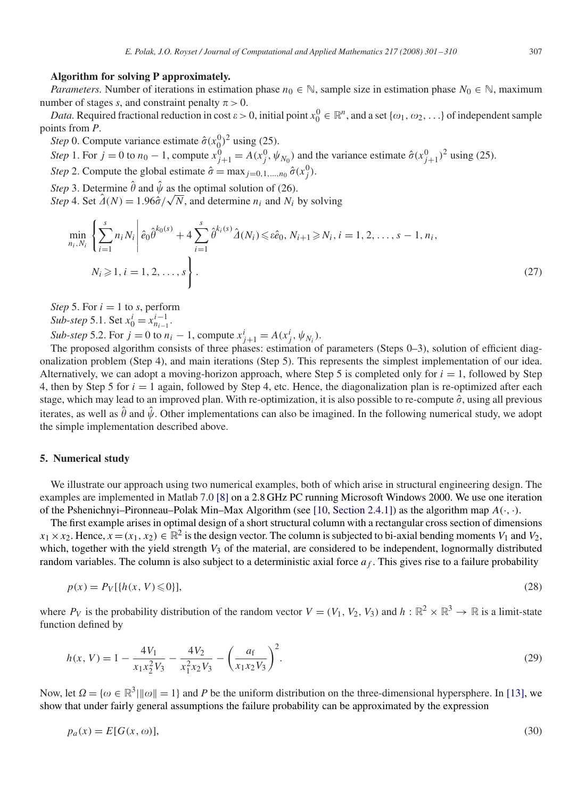# **Algorithm for solving P approximately.**

*Parameters.* Number of iterations in estimation phase  $n_0 \in \mathbb{N}$ , sample size in estimation phase  $N_0 \in \mathbb{N}$ , maximum number of stages *s*, and constraint penalty  $\pi > 0$ .

*Data.* Required fractional reduction in cost  $\varepsilon > 0$ , initial point  $x_0^0 \in \mathbb{R}^n$ , and a set  $\{\omega_1, \omega_2, ...\}$  of independent sample points from *P*.

*Step* 0. Compute variance estimate  $\hat{\sigma}(x_0^0)^2$  using (25).

*Step* 1. For  $j = 0$  to  $n_0 - 1$ , compute  $x_{j+1}^0 = A(x_j^0, \psi_{N_0})$  and the variance estimate  $\hat{\sigma}(x_{j+1}^0)^2$  using (25). *Step* 2. Compute the global estimate  $\hat{\sigma} = \max_{j=0,1,...,n_0} \hat{\sigma}(x_j^0)$ .

*Step* 3. Determine  $\hat{\theta}$  and  $\hat{\psi}$  as the optimal solution of (26).

*Step* 3. Determine  $\theta$  and  $\psi$  as the optimal solution of (26).<br>*Step* 4. Set  $\hat{\Lambda}(N) = 1.96\hat{\sigma}/\sqrt{N}$ , and determine  $n_i$  and  $N_i$  by solving

$$
\min_{n_i, N_i} \left\{ \sum_{i=1}^s n_i N_i \middle| \hat{e}_0 \hat{\theta}^{k_0(s)} + 4 \sum_{i=1}^s \hat{\theta}^{k_i(s)} \hat{\Delta}(N_i) \leq \hat{e}_0, N_{i+1} \geq N_i, i = 1, 2, \dots, s - 1, n_i, \right. \\
N_i \geqslant 1, i = 1, 2, \dots, s \right\}.
$$
\n
$$
(27)
$$

*Step* 5. For  $i = 1$  to *s*, perform

*Sub-step* 5.1. Set  $x_0^i = x_{n_{i-1}}^{i-1}$ .

*Sub-step* 5.2. For *j* = 0 to  $n_i - 1$ , compute  $x_{j+1}^i = A(x_j^i, \psi_{N_i})$ .

The proposed algorithm consists of three phases: estimation of parameters (Steps 0–3), solution of efficient diagonalization problem (Step 4), and main iterations (Step 5). This represents the simplest implementation of our idea. Alternatively, we can adopt a moving-horizon approach, where Step 5 is completed only for  $i = 1$ , followed by Step 4, then by Step 5 for *i* = 1 again, followed by Step 4, etc. Hence, the diagonalization plan is re-optimized after each stage, which may lead to an improved plan. With re-optimization, it is also possible to re-compute  $\hat{\sigma}$ , using all previous iterates, as well as  $\hat{\theta}$  and  $\hat{\psi}$ . Other implementations can also be imagined. In the following numerical study, we adopt the simple implementation described above.

## **5. Numerical study**

We illustrate our approach using two numerical examples, both of which arise in structural engineering design. The examples are implemented in Matlab 7.0 [\[8\]](#page-9-0) on a 2.8 GHz PC running Microsoft Windows 2000. We use one iteration of the Pshenichnyi–Pironneau–Polak Min–Max Algorithm (see [\[10, Section 2.4.1\]\)](#page-9-0) as the algorithm map *A(*·*,* ·*)*.

The first example arises in optimal design of a short structural column with a rectangular cross section of dimensions  $x_1 \times x_2$ . Hence,  $x = (x_1, x_2) \in \mathbb{R}^2$  is the design vector. The column is subjected to bi-axial bending moments *V*<sub>1</sub> and *V*<sub>2</sub>, which, together with the yield strength *V*<sub>3</sub> of the material, are considered to be independent, lognormally distributed random variables. The column is also subject to a deterministic axial force  $a_f$ . This gives rise to a failure probability

$$
p(x) = P_V[\{h(x, V) \le 0\}],\tag{28}
$$

where  $P_V$  is the probability distribution of the random vector  $V = (V_1, V_2, V_3)$  and  $h : \mathbb{R}^2 \times \mathbb{R}^3 \to \mathbb{R}$  is a limit-state function defined by

$$
h(x, V) = 1 - \frac{4V_1}{x_1 x_2^2 V_3} - \frac{4V_2}{x_1^2 x_2 V_3} - \left(\frac{a_f}{x_1 x_2 V_3}\right)^2.
$$
 (29)

Now, let  $\Omega = \{\omega \in \mathbb{R}^3 \mid ||\omega|| = 1\}$  and P be the uniform distribution on the three-dimensional hypersphere. In [\[13\],](#page-9-0) we show that under fairly general assumptions the failure probability can be approximated by the expression

$$
p_a(x) = E[G(x, \omega)],\tag{30}
$$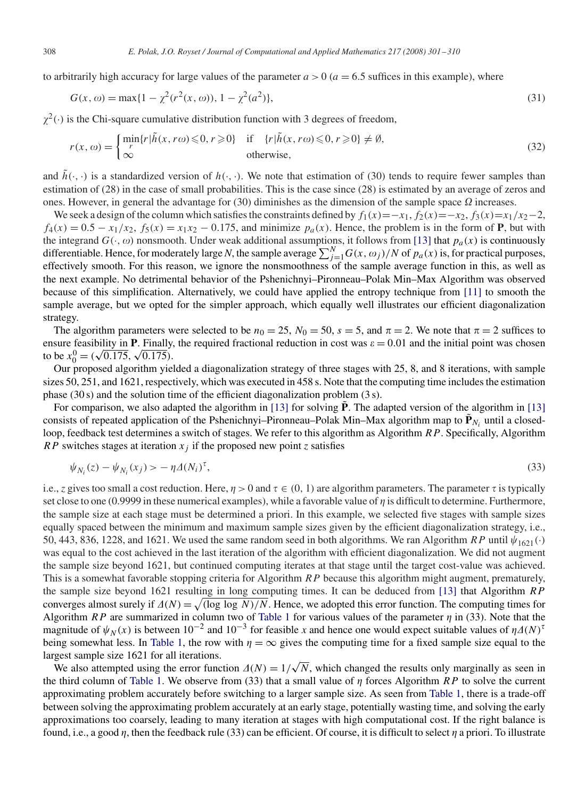to arbitrarily high accuracy for large values of the parameter  $a > 0$  ( $a = 6.5$  suffices in this example), where

$$
G(x, \omega) = \max\{1 - \chi^2(r^2(x, \omega)), 1 - \chi^2(a^2)\},\tag{31}
$$

 $\chi^2(\cdot)$  is the Chi-square cumulative distribution function with 3 degrees of freedom,

$$
r(x,\omega) = \begin{cases} \min_{r} \{r | \tilde{h}(x,r\omega) \leq 0, r \geq 0 \} & \text{if } \{r | \tilde{h}(x,r\omega) \leq 0, r \geq 0 \} \neq \emptyset, \\ \infty & \text{otherwise,} \end{cases}
$$
(32)

and  $h(\cdot, \cdot)$  is a standardized version of  $h(\cdot, \cdot)$ . We note that estimation of (30) tends to require fewer samples than estimation of (28) in the case of small probabilities. This is the case since (28) is estimated by an average of zeros and ones. However, in general the advantage for (30) diminishes as the dimension of the sample space  $\Omega$  increases.

We seek a design of the column which satisfies the constraints defined by  $f_1(x) = -x_1, f_2(x) = -x_2, f_3(x) = x_1/x_2-2$ ,  $f_4(x) = 0.5 - x_1/x_2$ ,  $f_5(x) = x_1x_2 - 0.175$ , and minimize  $p_a(x)$ . Hence, the problem is in the form of **P**, but with the integrand  $G(\cdot, \omega)$  nonsmooth. Under weak additional assumptions, it follows from [\[13\]](#page-9-0) that  $p_a(x)$  is continuously differentiable. Hence, for moderately large *N*, the sample average  $\sum_{j=1}^{N} G(x, \omega_j) / N$  of  $p_a(x)$  is, for practical purposes, effectively smooth. For this reason, we ignore the nonsmoothness of the sample average function in this, as well as the next example. No detrimental behavior of the Pshenichnyi–Pironneau–Polak Min–Max Algorithm was observed because of this simplification. Alternatively, we could have applied the entropy technique from [\[11\]](#page-9-0) to smooth the sample average, but we opted for the simpler approach, which equally well illustrates our efficient diagonalization strategy.

The algorithm parameters were selected to be  $n_0 = 25$ ,  $N_0 = 50$ ,  $s = 5$ , and  $\pi = 2$ . We note that  $\pi = 2$  suffices to ensure feasibility in **P**. Finally, the required fractional reduction in cost was  $\varepsilon = 0.01$  and the initial point was chosen to be  $x_0^0 = (\sqrt{0.175}, \sqrt{0.175})$ .

Our proposed algorithm yielded a diagonalization strategy of three stages with 25, 8, and 8 iterations, with sample sizes 50, 251, and 1621, respectively, which was executed in 458 s. Note that the computing time includes the estimation phase (30 s) and the solution time of the efficient diagonalization problem (3 s).

For comparison, we also adapted the algorithm in [\[13\]](#page-9-0) for solving  $\hat{P}$ . The adapted version of the algorithm in [13] consists of repeated application of the Pshenichnyi–Pironneau–Polak Min–Max algorithm map to  $\tilde{\mathbf{P}}_{N_i}$  until a closedloop, feedback test determines a switch of stages. We refer to this algorithm as Algorithm *RP*. Specifically, Algorithm *RP* switches stages at iteration  $x_i$  if the proposed new point *z* satisfies

$$
\psi_{N_i}(z) - \psi_{N_i}(x_j) > -\eta \Delta(N_i)^\tau,\tag{33}
$$

i.e., *z* gives too small a cost reduction. Here,  $\eta > 0$  and  $\tau \in (0, 1)$  are algorithm parameters. The parameter  $\tau$  is typically set close to one (0.9999 in these numerical examples), while a favorable value of  $\eta$  is difficult to determine. Furthermore, the sample size at each stage must be determined a priori. In this example, we selected five stages with sample sizes equally spaced between the minimum and maximum sample sizes given by the efficient diagonalization strategy, i.e., 50, 443, 836, 1228, and 1621. We used the same random seed in both algorithms. We ran Algorithm *RP* until  $\psi_{1621}(\cdot)$ was equal to the cost achieved in the last iteration of the algorithm with efficient diagonalization. We did not augment the sample size beyond 1621, but continued computing iterates at that stage until the target cost-value was achieved. This is a somewhat favorable stopping criteria for Algorithm *RP* because this algorithm might augment, prematurely, the sample size beyond 1621 resulting in long computing times. It can be deduced from [\[13\]](#page-9-0) that Algorithm *RP* converges almost surely if  $\Delta(N) = \sqrt{\frac{\log \log N}{N}}$ . Hence, we adopted this error function. The computing times for Algorithm *RP* are summarized in column two of [Table 1](#page-8-0) for various values of the parameter  $\eta$  in (33). Note that the magnitude of  $\psi_N(x)$  is between 10<sup>-2</sup> and 10<sup>-3</sup> for feasible *x* and hence one would expect suitable values of  $\eta \Delta(N)$ <sup>T</sup> being somewhat less. In [Table 1,](#page-8-0) the row with  $\eta = \infty$  gives the computing time for a fixed sample size equal to the largest sample size 1621 for all iterations.

gest sample size 1621 for all iterations.<br>We also attempted using the error function  $\Delta(N) = 1/\sqrt{N}$ , which changed the results only marginally as seen in the third column of [Table 1.](#page-8-0) We observe from (33) that a small value of  $\eta$  forces Algorithm *RP* to solve the current approximating problem accurately before switching to a larger sample size. As seen from [Table 1,](#page-8-0) there is a trade-off between solving the approximating problem accurately at an early stage, potentially wasting time, and solving the early approximations too coarsely, leading to many iteration at stages with high computational cost. If the right balance is found, i.e., a good  $\eta$ , then the feedback rule (33) can be efficient. Of course, it is difficult to select  $\eta$  a priori. To illustrate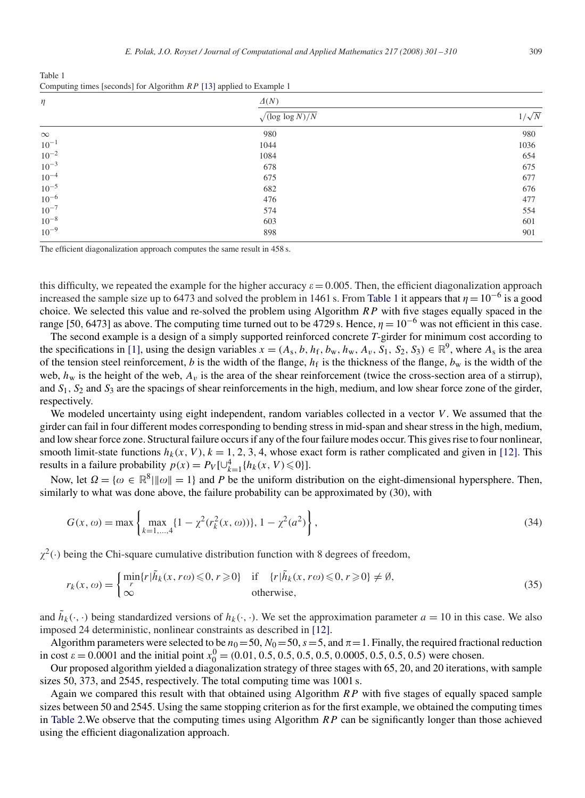<span id="page-8-0"></span>Table 1 Computing times [seconds] for Algorithm *RP* [\[13\]](#page-9-0) applied to Example 1

| $\eta$    | $\Delta(N)$                    |              |
|-----------|--------------------------------|--------------|
|           | $\sqrt{\frac{\log \log N}{N}}$ | $1/\sqrt{N}$ |
| $\infty$  | 980                            | 980          |
| $10^{-1}$ | 1044                           | 1036         |
| $10^{-2}$ | 1084                           | 654          |
| $10^{-3}$ | 678                            | 675          |
| $10^{-4}$ | 675                            | 677          |
| $10^{-5}$ | 682                            | 676          |
| $10^{-6}$ | 476                            | 477          |
| $10^{-7}$ | 574                            | 554          |
| $10^{-8}$ | 603                            | 601          |
| $10^{-9}$ | 898                            | 901          |

The efficient diagonalization approach computes the same result in 458 s.

this difficulty, we repeated the example for the higher accuracy  $\varepsilon = 0.005$ . Then, the efficient diagonalization approach increased the sample size up to 6473 and solved the problem in 1461 s. From Table 1 it appears that  $\eta = 10^{-6}$  is a good choice. We selected this value and re-solved the problem using Algorithm *RP* with five stages equally spaced in the range [50, 6473] as above. The computing time turned out to be 4729 s. Hence,  $\eta = 10^{-6}$  was not efficient in this case.

The second example is a design of a simply supported reinforced concrete *T*-girder for minimum cost according to the specifications in [\[1\],](#page-9-0) using the design variables  $x = (A_s, b, h_f, b_w, h_w, A_v, S_1, S_2, S_3) \in \mathbb{R}^9$ , where  $A_s$  is the area of the tension steel reinforcement, *b* is the width of the flange,  $h_f$  is the thickness of the flange,  $b_w$  is the width of the web,  $h_w$  is the height of the web,  $A_v$  is the area of the shear reinforcement (twice the cross-section area of a stirrup), and  $S_1$ ,  $S_2$  and  $S_3$  are the spacings of shear reinforcements in the high, medium, and low shear force zone of the girder, respectively.

We modeled uncertainty using eight independent, random variables collected in a vector *V*. We assumed that the girder can fail in four different modes corresponding to bending stress in mid-span and shear stress in the high, medium, and low shear force zone. Structural failure occurs if any of the four failure modes occur. This gives rise to four nonlinear, smooth limit-state functions  $h_k(x, V)$ ,  $k = 1, 2, 3, 4$ , whose exact form is rather complicated and given in [\[12\].](#page-9-0) This results in a failure probability  $p(x) = P_V[\cup_{k=1}^4 \{h_k(x, V) \le 0\}].$ 

Now, let  $\Omega = \{\omega \in \mathbb{R}^8 \mid ||\omega|| = 1\}$  and P be the uniform distribution on the eight-dimensional hypersphere. Then, similarly to what was done above, the failure probability can be approximated by (30), with

$$
G(x, \omega) = \max \left\{ \max_{k=1,\dots,4} \{1 - \chi^2(r_k^2(x, \omega))\}, 1 - \chi^2(a^2) \right\},\tag{34}
$$

 $\chi^2(\cdot)$  being the Chi-square cumulative distribution function with 8 degrees of freedom,

$$
r_k(x,\omega) = \begin{cases} \min_{r} \{r | \tilde{h}_k(x,r\omega) \leq 0, r \geq 0 \} & \text{if } \{r | \tilde{h}_k(x,r\omega) \leq 0, r \geq 0 \} \neq \emptyset, \\ \infty & \text{otherwise,} \end{cases}
$$
(35)

and  $\tilde{h}_k(\cdot, \cdot)$  being standardized versions of  $h_k(\cdot, \cdot)$ . We set the approximation parameter  $a = 10$  in this case. We also imposed 24 deterministic, nonlinear constraints as described in [\[12\].](#page-9-0)

Algorithm parameters were selected to be  $n_0 = 50$ ,  $N_0 = 50$ ,  $s = 5$ , and  $\pi = 1$ . Finally, the required fractional reduction in cost = 0*.*0001 and the initial point *x*<sup>0</sup> <sup>0</sup> = *(*0*.*01*,* 0*.*5*,* 0*.*5*,* 0*.*5*,* 0*.*5*,* 0*.*0005*,* 0*.*5*,* 0*.*5*,* 0*.*5*)* were chosen.

Our proposed algorithm yielded a diagonalization strategy of three stages with 65, 20, and 20 iterations, with sample sizes 50, 373, and 2545, respectively. The total computing time was 1001 s.

Again we compared this result with that obtained using Algorithm *RP* with five stages of equally spaced sample sizes between 50 and 2545. Using the same stopping criterion as for the first example, we obtained the computing times in [Table 2.](#page-9-0)We observe that the computing times using Algorithm *RP* can be significantly longer than those achieved using the efficient diagonalization approach.